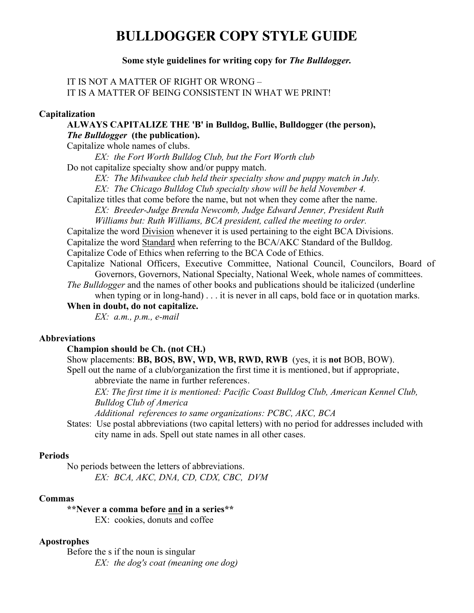# **BULLDOGGER COPY STYLE GUIDE**

# **Some style guidelines for writing copy for** *The Bulldogger.*

# IT IS NOT A MATTER OF RIGHT OR WRONG – IT IS A MATTER OF BEING CONSISTENT IN WHAT WE PRINT!

## **Capitalization**

**ALWAYS CAPITALIZE THE 'B' in Bulldog, Bullie, Bulldogger (the person),**  *The Bulldogger* **(the publication).**

Capitalize whole names of clubs.

*EX: the Fort Worth Bulldog Club, but the Fort Worth club*

Do not capitalize specialty show and/or puppy match.

*EX: The Milwaukee club held their specialty show and puppy match in July.*

 *EX: The Chicago Bulldog Club specialty show will be held November 4.*

Capitalize titles that come before the name, but not when they come after the name.

 *EX: Breeder-Judge Brenda Newcomb, Judge Edward Jenner, President Ruth Williams but: Ruth Williams, BCA president, called the meeting to order.*

Capitalize the word Division whenever it is used pertaining to the eight BCA Divisions.

 Capitalize the word Standard when referring to the BCA/AKC Standard of the Bulldog. Capitalize Code of Ethics when referring to the BCA Code of Ethics.

Capitalize National Officers, Executive Committee, National Council, Councilors, Board of Governors, Governors, National Specialty, National Week, whole names of committees.

*The Bulldogger* and the names of other books and publications should be italicized (underline when typing or in long-hand) . . . it is never in all caps, bold face or in quotation marks.

**When in doubt, do not capitalize.**

*EX: a.m., p.m., e-mail*

## **Abbreviations**

## **Champion should be Ch. (not CH.)**

Show placements: **BB, BOS, BW, WD, WB, RWD, RWB** (yes, it is **not** BOB, BOW).

 Spell out the name of a club/organization the first time it is mentioned, but if appropriate, abbreviate the name in further references.

 *EX: The first time it is mentioned: Pacific Coast Bulldog Club, American Kennel Club, Bulldog Club of America* 

 *Additional references to same organizations: PCBC, AKC, BCA*

 States: Use postal abbreviations (two capital letters) with no period for addresses included with city name in ads. Spell out state names in all other cases.

#### **Periods**

 No periods between the letters of abbreviations. *EX: BCA, AKC, DNA, CD, CDX, CBC, DVM*

#### **Commas**

**\*\*Never a comma before and in a series\*\*** EX: cookies, donuts and coffee

## **Apostrophes**

 Before the s if the noun is singular *EX: the dog's coat (meaning one dog)*